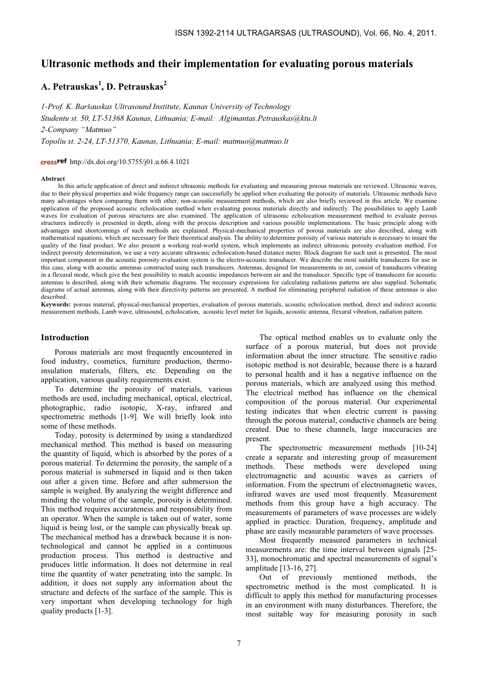# Ultrasonic methods and their implementation for evaluating porous materials

# A. Petrauskas $^{\rm l}$ , D. Petrauskas $^{\rm 2}$

1-Prof. K. Baršauskas Ultrasound Institute, Kaunas University of Technology Studentu st. 50, LT-51368 Kaunas, Lithuania; E-mail: Algimantas.Petrauskas@ktu.lt 2-Company "Matmuo" Topoliu st. 2-24, LT-51370, Kaunas, Lithuania; E-mail: matmuo@matmuo.lt

http://dx.doi.org/10.5755/j01.u.66.4.1021

#### Abstract

In this article application of direct and indirect ultrasonic methods for evaluating and measuring porous materials are reviewed. Ultrasonic waves, due to their physical properties and wide frequency range can successfully be applied when evaluating the porosity of materials. Ultrasonic methods have many advantages when comparing them with other, non-acoustic measurement methods, which are also briefly reviewed in this article. We examine application of the proposed acoustic echolocation method when evaluating porous materials directly and indirectly. The possibilities to apply Lamb waves for evaluation of porous structures are also examined. The application of ultrasonic echolocation measurement method to evaluate porous structures indirectly is presented in depth, along with the process description and various possible implementations. The basic principle along with advantages and shortcomings of such methods are explained. Physical-mechanical properties of porous materials are also described, along with mathematical equations, which are necessary for their theoretical analysis. The ability to determine porosity of various materials is necessary to insure the quality of the final product. We also present a working real-world system, which implements an indirect ultrasonic porosity evaluation method. For indirect porosity determination, we use a very accurate ultrasonic echolocation-based distance meter. Block diagram for such unit is presented. The most important component in the acoustic porosity evaluation system is the electro-acoustic transducer. We describe the most suitable transducers for use in this case, along with acoustic antennas constructed using such transducers. Antennas, designed for measurements in air, consist of transducers vibrating in a flexural mode, which give the best possibility to match acoustic impedances between air and the transducer. Specific type of transducers for acoustic antennas is described, along with their schematic diagrams. The necessary expressions for calculating radiations patterns are also supplied. Schematic diagrams of actual antennas, along with their directivity patterns are presented. A method for eliminating peripheral radiation of these antennas is also described.

Keywords: porous material, physical-mechanical properties, evaluation of porous materials, acoustic echolocation method, direct and indirect acoustic measurement methods, Lamb wave, ultrasound, echolocation, acoustic level meter for liquids, acoustic antenna, flexural vibration, radiation pattern.

### Introduction

Porous materials are most frequently encountered in food industry, cosmetics, furniture production, thermoinsulation materials, filters, etc. Depending on the application, various quality requirements exist.

To determine the porosity of materials, various methods are used, including mechanical, optical, electrical, photographic, radio isotopic, X-ray, infrared and spectrometric methods [1-9]. We will briefly look into some of these methods.

Today, porosity is determined by using a standardized mechanical method. This method is based on measuring the quantity of liquid, which is absorbed by the pores of a porous material. To determine the porosity, the sample of a porous material is submersed in liquid and is then taken out after a given time. Before and after submersion the sample is weighed. By analyzing the weight difference and minding the volume of the sample, porosity is determined. This method requires accurateness and responsibility from an operator. When the sample is taken out of water, some liquid is being lost, or the sample can physically break up. The mechanical method has a drawback because it is nontechnological and cannot be applied in a continuous production process. This method is destructive and produces little information. It does not determine in real time the quantity of water penetrating into the sample. In addition, it does not supply any information about the structure and defects of the surface of the sample. This is very important when developing technology for high quality products [1-3].

The optical method enables us to evaluate only the surface of a porous material, but does not provide information about the inner structure. The sensitive radio isotopic method is not desirable, because there is a hazard to personal health and it has a negative influence on the porous materials, which are analyzed using this method. The electrical method has influence on the chemical composition of the porous material. Our experimental testing indicates that when electric current is passing through the porous material, conductive channels are being created. Due to these channels, large inaccuracies are present.

The spectrometric measurement methods [10-24] create a separate and interesting group of measurement methods. These methods were developed using electromagnetic and acoustic waves as carriers of information. From the spectrum of electromagnetic waves, infrared waves are used most frequently. Measurement methods from this group have a high accuracy. The measurements of parameters of wave processes are widely applied in practice. Duration, frequency, amplitude and phase are easily measurable parameters of wave processes.

Most frequently measured parameters in technical measurements are: the time interval between signals [25- 33], monochromatic and spectral measurements of signal's amplitude [13-16, 27].

Out of previously mentioned methods, the spectrometric method is the most complicated. It is difficult to apply this method for manufacturing processes in an environment with many disturbances. Therefore, the most suitable way for measuring porosity in such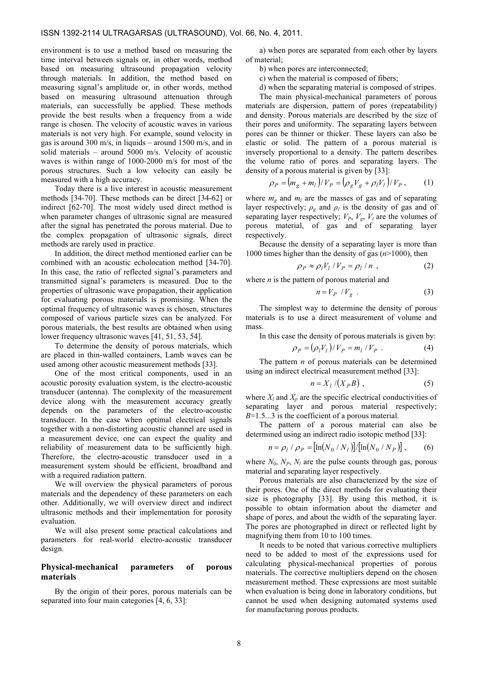environment is to use a method based on measuring the time interval between signals or, in other words, method based on measuring ultrasound propagation velocity through materials. In addition, the method based on measuring signal's amplitude or, in other words, method based on measuring ultrasound attenuation through materials, can successfully be applied. These methods provide the best results when a frequency from a wide range is chosen. The velocity of acoustic waves in various materials is not very high. For example, sound velocity in gas is around 300 m/s, in liquids – around 1500 m/s, and in solid materials – around 5000 m/s. Velocity of acoustic waves is within range of 1000-2000 m/s for most of the porous structures. Such a low velocity can easily be measured with a high accuracy.

Today there is a live interest in acoustic measurement methods [34-70]. These methods can be direct [34-62] or indirect [62-70]. The most widely used direct method is when parameter changes of ultrasonic signal are measured after the signal has penetrated the porous material. Due to the complex propagation of ultrasonic signals, direct methods are rarely used in practice.

In addition, the direct method mentioned earlier can be combined with an acoustic echolocation method [34-70]. In this case, the ratio of reflected signal's parameters and transmitted signal's parameters is measured. Due to the properties of ultrasonic wave propagation, their application for evaluating porous materials is promising. When the optimal frequency of ultrasonic waves is chosen, structures composed of various particle sizes can be analyzed. For porous materials, the best results are obtained when using lower frequency ultrasonic waves [41, 51, 53, 54].

To determine the density of porous materials, which are placed in thin-walled containers, Lamb waves can be used among other acoustic measurement methods [33].

One of the most critical components, used in an acoustic porosity evaluation system, is the electro-acoustic transducer (antenna). The complexity of the measurement device along with the measurement accuracy greatly depends on the parameters of the electro-acoustic transducer. In the case when optimal electrical signals together with a non-distorting acoustic channel are used in a measurement device, one can expect the quality and reliability of measurement data to be sufficiently high. Therefore, the electro-acoustic transducer used in a measurement system should be efficient, broadband and with a required radiation pattern.

We will overview the physical parameters of porous materials and the dependency of these parameters on each other. Additionally, we will overview direct and indirect ultrasonic methods and their implementation for porosity evaluation.

We will also present some practical calculations and parameters for real-world electro-acoustic transducer design.

# Physical-mechanical parameters of porous materials

By the origin of their pores, porous materials can be separated into four main categories [4, 6, 33]:

a) when pores are separated from each other by layers of material;

- b) when pores are interconnected;
- c) when the material is composed of fibers;
- d) when the separating material is composed of stripes.

The main physical-mechanical parameters of porous materials are dispersion, pattern of pores (repeatability) and density. Porous materials are described by the size of their pores and uniformity. The separating layers between pores can be thinner or thicker. These layers can also be elastic or solid. The pattern of a porous material is inversely proportional to a density. The pattern describes the volume ratio of pores and separating layers. The density of a porous material is given by [33]:

$$
\rho_P = (m_g + m_l)/V_P = (\rho_g V_g + \rho_l V_l)/V_P, \qquad (1)
$$

where  $m_g$  and  $m_l$  are the masses of gas and of separating layer respectively;  $\rho_{g}$  and  $\rho_{l}$  is the density of gas and of separating layer respectively;  $V_P$ ,  $V_g$ ,  $V_l$  are the volumes of porous material, of gas and of separating layer respectively.

Because the density of a separating layer is more than 1000 times higher than the density of gas  $(n>1000)$ , then

$$
\rho_P \approx \rho_l V_l / V_P = \rho_l / n \tag{2}
$$

where  $n$  is the pattern of porous material and

$$
n = V_P / V_g . \tag{3}
$$

The simplest way to determine the density of porous materials is to use a direct measurement of volume and mass.

In this case the density of porous materials is given by:  
\n
$$
\rho_P = (\rho_l V_l)/V_P = m_l / V_P .
$$
\n(4)

The pattern  $n$  of porous materials can be determined using an indirect electrical measurement method [33]:<br>  $n = X_l / (X_p B)$ , (5)

$$
n = X_l / (X_P B) , \t\t(5)
$$

where  $X_l$  and  $X_p$  are the specific electrical conductivities of separating layer and porous material respectively; B=1.5...3 is the coefficient of a porous material.

The pattern of a porous material can also be determined using an indirect radio isotopic method [33]:

$$
n = \rho_l / \rho_P = [\ln(N_0 / N_l)] / [\ln(N_0 / N_P)], \qquad (6)
$$

where  $N_0$ ,  $N_P$ ,  $N_l$  are the pulse counts through gas, porous material and separating layer respectively.

Porous materials are also characterized by the size of their pores. One of the direct methods for evaluating their size is photography [33]. By using this method, it is possible to obtain information about the diameter and shape of pores, and about the width of the separating layer. The pores are photographed in direct or reflected light by magnifying them from 10 to 100 times.

It needs to be noted that various corrective multipliers need to be added to most of the expressions used for calculating physical-mechanical properties of porous materials. The corrective multipliers depend on the chosen measurement method. These expressions are most suitable when evaluation is being done in laboratory conditions, but cannot be used when designing automated systems used for manufacturing porous products.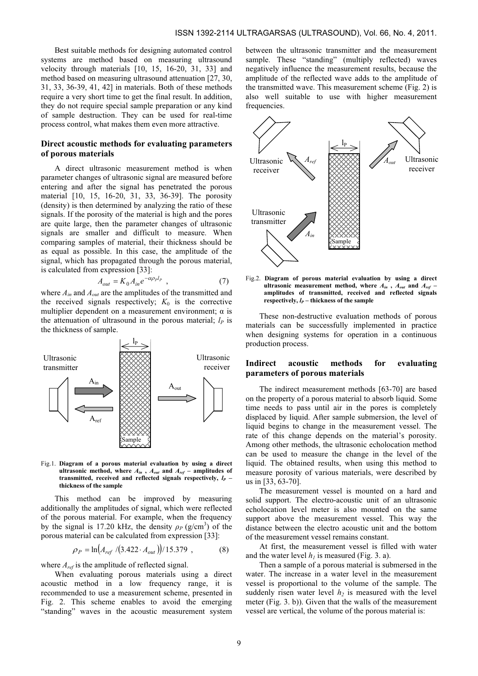Best suitable methods for designing automated control systems are method based on measuring ultrasound velocity through materials [10, 15, 16-20, 31, 33] and method based on measuring ultrasound attenuation [27, 30, 31, 33, 36-39, 41, 42] in materials. Both of these methods require a very short time to get the final result. In addition, they do not require special sample preparation or any kind of sample destruction. They can be used for real-time process control, what makes them even more attractive.

### Direct acoustic methods for evaluating parameters of porous materials

A direct ultrasonic measurement method is when parameter changes of ultrasonic signal are measured before entering and after the signal has penetrated the porous material [10, 15, 16-20, 31, 33, 36-39]. The porosity (density) is then determined by analyzing the ratio of these signals. If the porosity of the material is high and the pores are quite large, then the parameter changes of ultrasonic signals are smaller and difficult to measure. When comparing samples of material, their thickness should be as equal as possible. In this case, the amplitude of the signal, which has propagated through the porous material, is calculated from expression [33]: ible. In this case, the amplitude of the propagated through the porous material expression [33]:<br>  $A_{out} = K_0 A_{in} e^{-\alpha \rho_p l_p}$ , (7)

$$
A_{out} = K_0 A_{in} e^{-\alpha \rho_p l_p} \tag{7}
$$

where  $A_{in}$  and  $A_{out}$  are the amplitudes of the transmitted and the received signals respectively;  $K_0$  is the corrective multiplier dependent on a measurement environment;  $\alpha$  is the attenuation of ultrasound in the porous material;  $l_p$  is the thickness of sample.



Fig.1. Diagram of a porous material evaluation by using a direct ultrasonic method, where  $A_{in}$ ,  $A_{out}$  and  $A_{ref}$  – amplitudes of transmitted, received and reflected signals respectively,  $l_P$  – thickness of the sample

This method can be improved by measuring additionally the amplitudes of signal, which were reflected of the porous material. For example, when the frequency by the signal is 17.20 kHz, the density  $\rho_P$  (g/cm<sup>3</sup>) of the porous material can be calculated from expression [33]:

$$
\rho_P = \ln \left( A_{ref} / (3.422 \cdot A_{out}) \right) / 15.379 , \qquad (8)
$$

where  $A_{ref}$  is the amplitude of reflected signal.

When evaluating porous materials using a direct acoustic method in a low frequency range, it is recommended to use a measurement scheme, presented in Fig. 2. This scheme enables to avoid the emerging "standing" waves in the acoustic measurement system between the ultrasonic transmitter and the measurement sample. These "standing" (multiply reflected) waves negatively influence the measurement results, because the amplitude of the reflected wave adds to the amplitude of the transmitted wave. This measurement scheme (Fig. 2) is also well suitable to use with higher measurement frequencies.





These non-destructive evaluation methods of porous materials can be successfully implemented in practice when designing systems for operation in a continuous production process.

### Indirect acoustic methods for evaluating parameters of porous materials

The indirect measurement methods [63-70] are based on the property of a porous material to absorb liquid. Some time needs to pass until air in the pores is completely displaced by liquid. After sample submersion, the level of liquid begins to change in the measurement vessel. The rate of this change depends on the material's porosity. Among other methods, the ultrasonic echolocation method can be used to measure the change in the level of the liquid. The obtained results, when using this method to measure porosity of various materials, were described by us in [33, 63-70].

The measurement vessel is mounted on a hard and solid support. The electro-acoustic unit of an ultrasonic echolocation level meter is also mounted on the same support above the measurement vessel. This way the distance between the electro acoustic unit and the bottom of the measurement vessel remains constant.

At first, the measurement vessel is filled with water and the water level  $h_1$  is measured (Fig. 3. a).

Then a sample of a porous material is submersed in the water. The increase in a water level in the measurement vessel is proportional to the volume of the sample. The suddenly risen water level  $h_2$  is measured with the level meter (Fig. 3. b)). Given that the walls of the measurement vessel are vertical, the volume of the porous material is: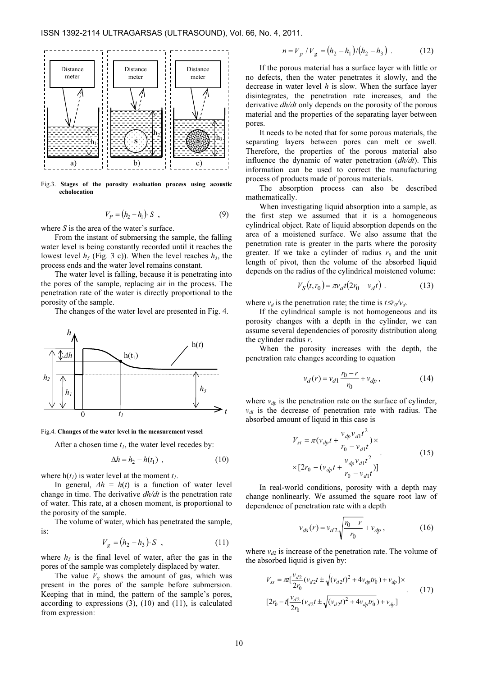

Fig.3. Stages of the porosity evaluation process using acoustic echolocation

$$
V_P = (h_2 - h_1) \cdot S \tag{9}
$$

where S is the area of the water's surface.

From the instant of submersing the sample, the falling water level is being constantly recorded until it reaches the lowest level  $h_3$  (Fig. 3 c)). When the level reaches  $h_3$ , the process ends and the water level remains constant.

The water level is falling, because it is penetrating into the pores of the sample, replacing air in the process. The penetration rate of the water is directly proportional to the porosity of the sample.

The changes of the water level are presented in Fig. 4.



Fig.4. Changes of the water level in the measurement vessel

After a chosen time  $t_1$ , the water level recedes by:

$$
\Delta h = h_2 - h(t_1) \tag{10}
$$

where  $h(t_1)$  is water level at the moment  $t_1$ .

In general,  $\Delta h = h(t)$  is a function of water level change in time. The derivative  $dh/dt$  is the penetration rate of water. This rate, at a chosen moment, is proportional to the porosity of the sample.

The volume of water, which has penetrated the sample, is:

$$
V_g = (h_2 - h_3) \cdot S , \qquad (11)
$$

where  $h_3$  is the final level of water, after the gas in the pores of the sample was completely displaced by water.

The value  $V_g$  shows the amount of gas, which was present in the pores of the sample before submersion. Keeping that in mind, the pattern of the sample's pores, according to expressions (3), (10) and (11), is calculated from expression:

$$
n = V_p / V_g = (h_2 - h_1) / (h_2 - h_3) . \tag{12}
$$

If the porous material has a surface layer with little or no defects, then the water penetrates it slowly, and the decrease in water level  $h$  is slow. When the surface layer disintegrates, the penetration rate increases, and the derivative *dh/dt* only depends on the porosity of the porous material and the properties of the separating layer between pores.

It needs to be noted that for some porous materials, the separating layers between pores can melt or swell. Therefore, the properties of the porous material also influence the dynamic of water penetration  $(dh/dt)$ . This information can be used to correct the manufacturing process of products made of porous materials.

The absorption process can also be described mathematically.

When investigating liquid absorption into a sample, as the first step we assumed that it is a homogeneous cylindrical object. Rate of liquid absorption depends on the area of a moistened surface. We also assume that the penetration rate is greater in the parts where the porosity greater. If we take a cylinder of radius  $r_0$  and the unit length of pivot, then the volume of the absorbed liquid depends on the radius of the cylindrical moistened volume:

$$
V_S(t, r_0) = \pi v_d t (2r_0 - v_d t) . \tag{13}
$$

where  $v_d$  is the penetration rate; the time is  $t \le r_0/v_d$ .

If the cylindrical sample is not homogeneous and its porosity changes with a depth in the cylinder, we can assume several dependencies of porosity distribution along the cylinder radius r.

When the porosity increases with the depth, the penetration rate changes according to equation

$$
v_d(r) = v_{d1} \frac{r_0 - r}{r_0} + v_{dp},
$$
 (14)

where  $v_{dp}$  is the penetration rate on the surface of cylinder,  $v_{d}$  is the decrease of penetration rate with radius. The absorbed amount of liquid in this case is

$$
V_{st} = \pi (v_{dp}t + \frac{v_{dp}v_{d1}t^2}{r_0 - v_{d1}t}) \times
$$
  
×[2r<sub>0</sub> - (v<sub>dp</sub>t +  $\frac{v_{dp}v_{d1}t^2}{r_0 - v_{d1}t})$ ] (15)

In real-world conditions, porosity with a depth may change nonlinearly. We assumed the square root law of dependence of penetration rate with a depth

$$
v_{ds}(r) = v_{d2} \sqrt{\frac{r_0 - r}{r_0}} + v_{dp} , \qquad (16)
$$

where  $v_{d2}$  is increase of the penetration rate. The volume of the absorbed liquid is given by:

$$
V_{ss} = \pi \left[ \frac{v_{d2}}{2r_0} (v_{d2}t \pm \sqrt{(v_{d2}t)^2 + 4v_{dp}tr_0}) + v_{dp} \right] \times
$$
  
\n
$$
\left[ 2r_0 - t \left[ \frac{v_{d2}}{2r_0} (v_{d2}t \pm \sqrt{(v_{d2}t)^2 + 4v_{dp}tr_0}) + v_{dp} \right] \right]
$$
 (17)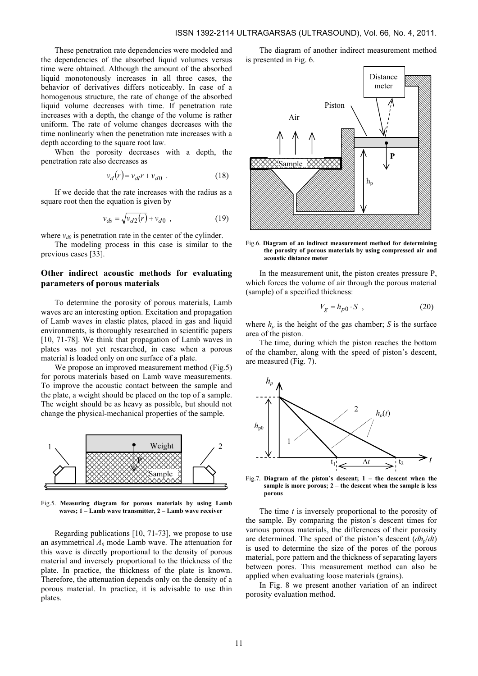These penetration rate dependencies were modeled and the dependencies of the absorbed liquid volumes versus time were obtained. Although the amount of the absorbed liquid monotonously increases in all three cases, the behavior of derivatives differs noticeably. In case of a homogenous structure, the rate of change of the absorbed liquid volume decreases with time. If penetration rate increases with a depth, the change of the volume is rather uniform. The rate of volume changes decreases with the time nonlinearly when the penetration rate increases with a depth according to the square root law.

When the porosity decreases with a depth, the penetration rate also decreases as

$$
v_d(r) = v_{dl}r + v_{d0} \tag{18}
$$

If we decide that the rate increases with the radius as a square root then the equation is given by

$$
v_{ds} = \sqrt{v_{d2}(r)} + v_{d0} \t{,} \t(19)
$$

where  $v_{d0}$  is penetration rate in the center of the cylinder.

The modeling process in this case is similar to the previous cases [33].

### Other indirect acoustic methods for evaluating parameters of porous materials

To determine the porosity of porous materials, Lamb waves are an interesting option. Excitation and propagation of Lamb waves in elastic plates, placed in gas and liquid environments, is thoroughly researched in scientific papers [10, 71-78]. We think that propagation of Lamb waves in plates was not yet researched, in case when a porous material is loaded only on one surface of a plate.

We propose an improved measurement method (Fig.5) for porous materials based on Lamb wave measurements. To improve the acoustic contact between the sample and the plate, a weight should be placed on the top of a sample. The weight should be as heavy as possible, but should not change the physical-mechanical properties of the sample.



Fig.5. Measuring diagram for porous materials by using Lamb waves; 1 – Lamb wave transmitter, 2 – Lamb wave receiver

Regarding publications [10, 71-73], we propose to use an asymmetrical  $A_0$  mode Lamb wave. The attenuation for this wave is directly proportional to the density of porous material and inversely proportional to the thickness of the plate. In practice, the thickness of the plate is known. Therefore, the attenuation depends only on the density of a porous material. In practice, it is advisable to use thin plates.

The diagram of another indirect measurement method is presented in Fig. 6.



Fig.6. Diagram of an indirect measurement method for determining the porosity of porous materials by using compressed air and acoustic distance meter

In the measurement unit, the piston creates pressure P, which forces the volume of air through the porous material (sample) of a specified thickness:

$$
V_g = h_{p0} \cdot S \t{,} \t(20)
$$

where  $h_p$  is the height of the gas chamber; S is the surface area of the piston.

The time, during which the piston reaches the bottom of the chamber, along with the speed of piston's descent, are measured (Fig. 7).



Fig.7. Diagram of the piston's descent;  $1 -$  the descent when the sample is more porous; 2 – the descent when the sample is less porous

The time  $t$  is inversely proportional to the porosity of the sample. By comparing the piston's descent times for various porous materials, the differences of their porosity are determined. The speed of the piston's descent  $(dh_p/dt)$ is used to determine the size of the pores of the porous material, pore pattern and the thickness of separating layers between pores. This measurement method can also be applied when evaluating loose materials (grains).

In Fig. 8 we present another variation of an indirect porosity evaluation method.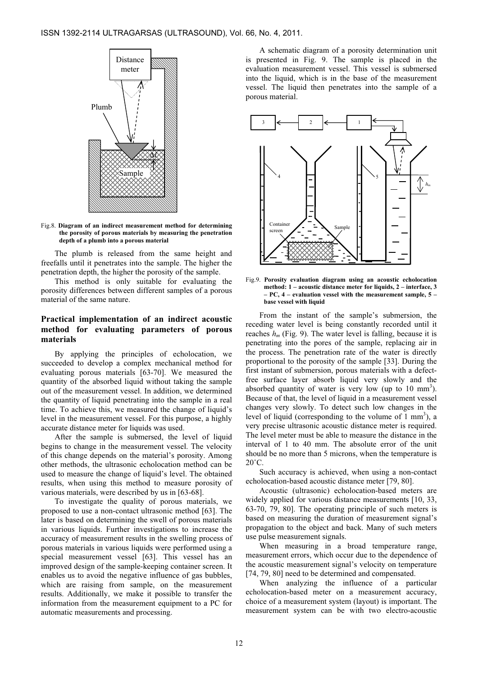

Fig.8. Diagram of an indirect measurement method for determining the porosity of porous materials by measuring the penetration depth of a plumb into a porous material

The plumb is released from the same height and freefalls until it penetrates into the sample. The higher the penetration depth, the higher the porosity of the sample.

This method is only suitable for evaluating the porosity differences between different samples of a porous material of the same nature.

# Practical implementation of an indirect acoustic method for evaluating parameters of porous materials

By applying the principles of echolocation, we succeeded to develop a complex mechanical method for evaluating porous materials [63-70]. We measured the quantity of the absorbed liquid without taking the sample out of the measurement vessel. In addition, we determined the quantity of liquid penetrating into the sample in a real time. To achieve this, we measured the change of liquid's level in the measurement vessel. For this purpose, a highly accurate distance meter for liquids was used.

After the sample is submersed, the level of liquid begins to change in the measurement vessel. The velocity of this change depends on the material's porosity. Among other methods, the ultrasonic echolocation method can be used to measure the change of liquid's level. The obtained results, when using this method to measure porosity of various materials, were described by us in [63-68].

To investigate the quality of porous materials, we proposed to use a non-contact ultrasonic method [63]. The later is based on determining the swell of porous materials in various liquids. Further investigations to increase the accuracy of measurement results in the swelling process of porous materials in various liquids were performed using a special measurement vessel [63]. This vessel has an improved design of the sample-keeping container screen. It enables us to avoid the negative influence of gas bubbles, which are raising from sample, on the measurement results. Additionally, we make it possible to transfer the information from the measurement equipment to a PC for automatic measurements and processing.

A schematic diagram of a porosity determination unit is presented in Fig. 9. The sample is placed in the evaluation measurement vessel. This vessel is submersed into the liquid, which is in the base of the measurement vessel. The liquid then penetrates into the sample of a porous material.



Fig.9. Porosity evaluation diagram using an acoustic echolocation method:  $1 -$  acoustic distance meter for liquids,  $2 -$  interface, 3  $- PC$ , 4 – evaluation vessel with the measurement sample, 5 – base vessel with liquid

From the instant of the sample's submersion, the receding water level is being constantly recorded until it reaches  $h_m$  (Fig. 9). The water level is falling, because it is penetrating into the pores of the sample, replacing air in the process. The penetration rate of the water is directly proportional to the porosity of the sample [33]. During the first instant of submersion, porous materials with a defectfree surface layer absorb liquid very slowly and the absorbed quantity of water is very low (up to  $10 \text{ mm}^3$ ). Because of that, the level of liquid in a measurement vessel changes very slowly. To detect such low changes in the level of liquid (corresponding to the volume of  $1 \text{ mm}^3$ ), a very precise ultrasonic acoustic distance meter is required. The level meter must be able to measure the distance in the interval of 1 to 40 mm. The absolute error of the unit should be no more than 5 microns, when the temperature is  $20^{\circ}$ C.

Such accuracy is achieved, when using a non-contact echolocation-based acoustic distance meter [79, 80].

Acoustic (ultrasonic) echolocation-based meters are widely applied for various distance measurements [10, 33, 63-70, 79, 80]. The operating principle of such meters is based on measuring the duration of measurement signal's propagation to the object and back. Many of such meters use pulse measurement signals.

When measuring in a broad temperature range, measurement errors, which occur due to the dependence of the acoustic measurement signal's velocity on temperature [74, 79, 80] need to be determined and compensated.

When analyzing the influence of a particular echolocation-based meter on a measurement accuracy, choice of a measurement system (layout) is important. The measurement system can be with two electro-acoustic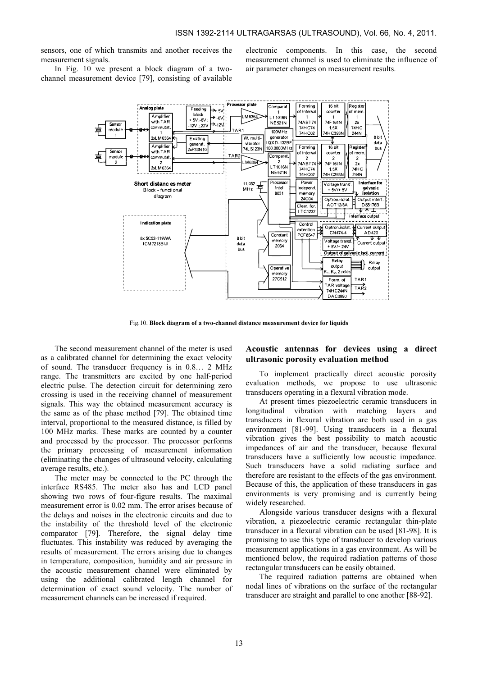sensors, one of which transmits and another receives the measurement signals.

In Fig. 10 we present a block diagram of a twochannel measurement device [79], consisting of available electronic components. In this case, the second measurement channel is used to eliminate the influence of air parameter changes on measurement results.



Fig.10. Block diagram of a two-channel distance measurement device for liquids

The second measurement channel of the meter is used as a calibrated channel for determining the exact velocity of sound. The transducer frequency is in 0.8… 2 MHz range. The transmitters are excited by one half-period electric pulse. The detection circuit for determining zero crossing is used in the receiving channel of measurement signals. This way the obtained measurement accuracy is the same as of the phase method [79]. The obtained time interval, proportional to the measured distance, is filled by 100 MHz marks. These marks are counted by a counter and processed by the processor. The processor performs the primary processing of measurement information (eliminating the changes of ultrasound velocity, calculating average results, etc.).

The meter may be connected to the PC through the interface RS485. The meter also has and LCD panel showing two rows of four-figure results. The maximal measurement error is 0.02 mm. The error arises because of the delays and noises in the electronic circuits and due to the instability of the threshold level of the electronic comparator [79]. Therefore, the signal delay time fluctuates. This instability was reduced by averaging the results of measurement. The errors arising due to changes in temperature, composition, humidity and air pressure in the acoustic measurement channel were eliminated by using the additional calibrated length channel for determination of exact sound velocity. The number of measurement channels can be increased if required.

# Acoustic antennas for devices using a direct ultrasonic porosity evaluation method

To implement practically direct acoustic porosity evaluation methods, we propose to use ultrasonic transducers operating in a flexural vibration mode.

At present times piezoelectric ceramic transducers in longitudinal vibration with matching layers and transducers in flexural vibration are both used in a gas environment [81-99]. Using transducers in a flexural vibration gives the best possibility to match acoustic impedances of air and the transducer, because flexural transducers have a sufficiently low acoustic impedance. Such transducers have a solid radiating surface and therefore are resistant to the effects of the gas environment. Because of this, the application of these transducers in gas environments is very promising and is currently being widely researched.

Alongside various transducer designs with a flexural vibration, a piezoelectric ceramic rectangular thin-plate transducer in a flexural vibration can be used [81-98]. It is promising to use this type of transducer to develop various measurement applications in a gas environment. As will be mentioned below, the required radiation patterns of those rectangular transducers can be easily obtained.

The required radiation patterns are obtained when nodal lines of vibrations on the surface of the rectangular transducer are straight and parallel to one another [88-92].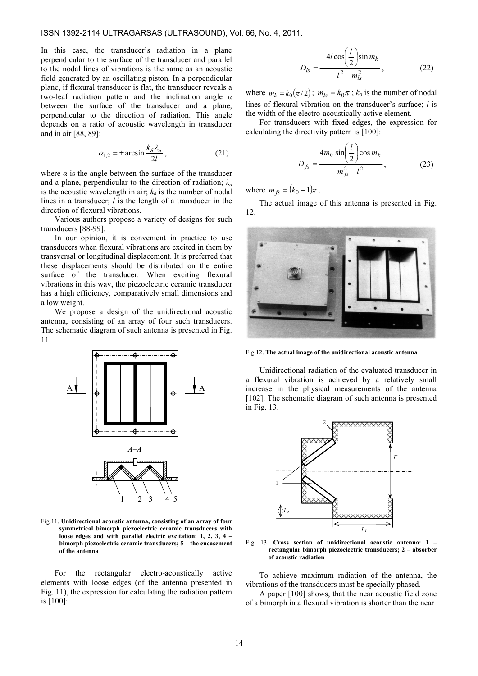### ISSN 1392-2114 ULTRAGARSAS (ULTRASOUND), Vol. 66, No. 4, 2011.

In this case, the transducer's radiation in a plane perpendicular to the surface of the transducer and parallel to the nodal lines of vibrations is the same as an acoustic field generated by an oscillating piston. In a perpendicular plane, if flexural transducer is flat, the transducer reveals a two-leaf radiation pattern and the inclination angle  $\alpha$ between the surface of the transducer and a plane, perpendicular to the direction of radiation. This angle depends on a ratio of acoustic wavelength in transducer and in air [88, 89]:

$$
\alpha_{1,2} = \pm \arcsin \frac{k_{\delta} \lambda_a}{2l},\qquad(21)
$$

where  $\alpha$  is the angle between the surface of the transducer and a plane, perpendicular to the direction of radiation;  $\lambda_a$ is the acoustic wavelength in air;  $k_{\delta}$  is the number of nodal lines in a transducer;  $l$  is the length of a transducer in the direction of flexural vibrations.

Various authors propose a variety of designs for such transducers [88-99].

In our opinion, it is convenient in practice to use transducers when flexural vibrations are excited in them by transversal or longitudinal displacement. It is preferred that these displacements should be distributed on the entire surface of the transducer. When exciting flexural vibrations in this way, the piezoelectric ceramic transducer has a high efficiency, comparatively small dimensions and a low weight.

We propose a design of the unidirectional acoustic antenna, consisting of an array of four such transducers. The schematic diagram of such antenna is presented in Fig. 11.



Fig.11. Unidirectional acoustic antenna, consisting of an array of four symmetrical bimorph piezoelectric ceramic transducers with loose edges and with parallel electric excitation: 1, 2, 3, 4 – bimorph piezoelectric ceramic transducers; 5 – the encasement of the antenna

For the rectangular electro-acoustically active elements with loose edges (of the antenna presented in Fig. 11), the expression for calculating the radiation pattern is [100]:

$$
D_{ls} = \frac{-4l\cos\left(\frac{l}{2}\right)\sin m_k}{l^2 - m_{ls}^2},\qquad(22)
$$

where  $m_k = k_0 (\pi / 2)$ ;  $m_{ls} = k_0 \pi$ ;  $k_0$  is the number of nodal lines of flexural vibration on the transducer's surface; *l* is the width of the electro-acoustically active element.

For transducers with fixed edges, the expression for calculating the directivity pattern is [100]:

$$
D_{fs} = \frac{4m_0 \sin\left(\frac{l}{2}\right) \cos m_k}{m_{fs}^2 - l^2},
$$
 (23)

where  $m_{f_s} = (k_0 - 1)\pi$ .

D

The actual image of this antenna is presented in Fig. 12.



Fig.12. The actual image of the unidirectional acoustic antenna

Unidirectional radiation of the evaluated transducer in a flexural vibration is achieved by a relatively small increase in the physical measurements of the antenna [102]. The schematic diagram of such antenna is presented in Fig. 13.



Fig. 13. Cross section of unidirectional acoustic antenna: 1 – rectangular bimorph piezoelectric transducers; 2 – absorber of acoustic radiation

To achieve maximum radiation of the antenna, the vibrations of the transducers must be specially phased.

A paper [100] shows, that the near acoustic field zone of a bimorph in a flexural vibration is shorter than the near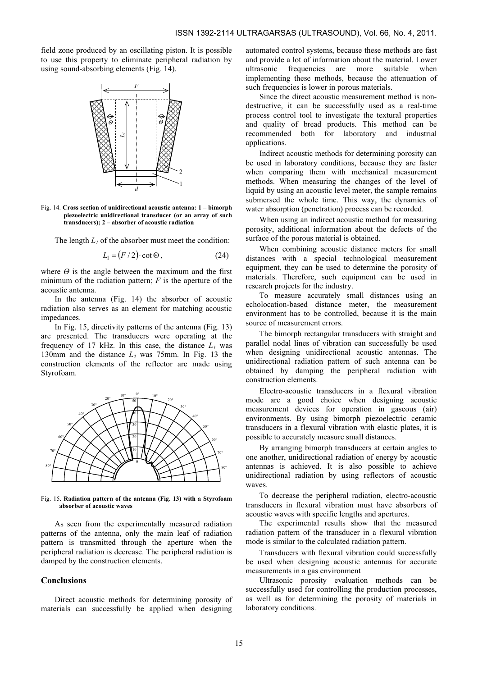field zone produced by an oscillating piston. It is possible to use this property to eliminate peripheral radiation by using sound-absorbing elements (Fig. 14).



Fig. 14. Cross section of unidirectional acoustic antenna: 1 – bimorph piezoelectric unidirectional transducer (or an array of such transducers); 2 – absorber of acoustic radiation

The length  $L_1$  of the absorber must meet the condition:

$$
L_1 = (F/2) \cdot \cot \Theta, \qquad (24)
$$

where  $\Theta$  is the angle between the maximum and the first minimum of the radiation pattern;  $F$  is the aperture of the acoustic antenna.

In the antenna (Fig. 14) the absorber of acoustic radiation also serves as an element for matching acoustic impedances.

In Fig. 15, directivity patterns of the antenna (Fig. 13) are presented. The transducers were operating at the frequency of 17 kHz. In this case, the distance  $L_1$  was 130mm and the distance  $L_2$  was 75mm. In Fig. 13 the construction elements of the reflector are made using Styrofoam.



Fig. 15. Radiation pattern of the antenna (Fig. 13) with a Styrofoam absorber of acoustic waves

As seen from the experimentally measured radiation patterns of the antenna, only the main leaf of radiation pattern is transmitted through the aperture when the peripheral radiation is decrease. The peripheral radiation is damped by the construction elements.

### Conclusions

Direct acoustic methods for determining porosity of materials can successfully be applied when designing

automated control systems, because these methods are fast and provide a lot of information about the material. Lower ultrasonic frequencies are more suitable when implementing these methods, because the attenuation of such frequencies is lower in porous materials.

Since the direct acoustic measurement method is nondestructive, it can be successfully used as a real-time process control tool to investigate the textural properties and quality of bread products. This method can be recommended both for laboratory and industrial applications.

Indirect acoustic methods for determining porosity can be used in laboratory conditions, because they are faster when comparing them with mechanical measurement methods. When measuring the changes of the level of liquid by using an acoustic level meter, the sample remains submersed the whole time. This way, the dynamics of water absorption (penetration) process can be recorded.

When using an indirect acoustic method for measuring porosity, additional information about the defects of the surface of the porous material is obtained.

When combining acoustic distance meters for small distances with a special technological measurement equipment, they can be used to determine the porosity of materials. Therefore, such equipment can be used in research projects for the industry.

To measure accurately small distances using an echolocation-based distance meter, the measurement environment has to be controlled, because it is the main source of measurement errors.

The bimorph rectangular transducers with straight and parallel nodal lines of vibration can successfully be used when designing unidirectional acoustic antennas. The unidirectional radiation pattern of such antenna can be obtained by damping the peripheral radiation with construction elements.

Electro-acoustic transducers in a flexural vibration mode are a good choice when designing acoustic measurement devices for operation in gaseous (air) environments. By using bimorph piezoelectric ceramic transducers in a flexural vibration with elastic plates, it is possible to accurately measure small distances.

By arranging bimorph transducers at certain angles to one another, unidirectional radiation of energy by acoustic antennas is achieved. It is also possible to achieve unidirectional radiation by using reflectors of acoustic waves.

To decrease the peripheral radiation, electro-acoustic transducers in flexural vibration must have absorbers of acoustic waves with specific lengths and apertures.

The experimental results show that the measured radiation pattern of the transducer in a flexural vibration mode is similar to the calculated radiation pattern.

Transducers with flexural vibration could successfully be used when designing acoustic antennas for accurate measurements in a gas environment

Ultrasonic porosity evaluation methods can be successfully used for controlling the production processes, as well as for determining the porosity of materials in laboratory conditions.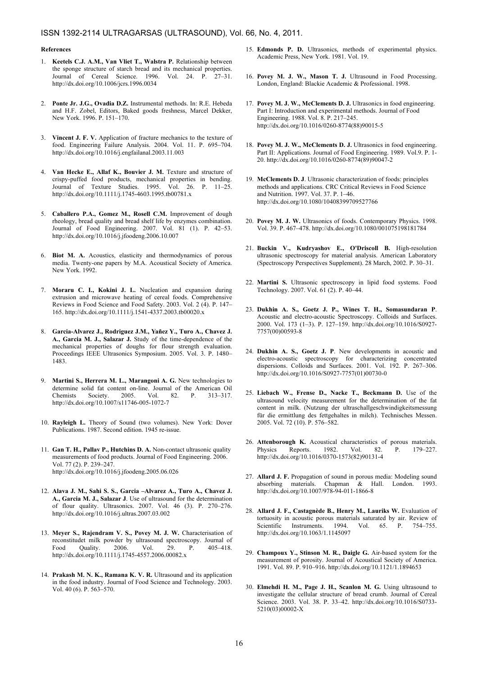#### ISSN 1392-2114 ULTRAGARSAS (ULTRASOUND), Vol. 66, No. 4, 2011.

#### References

- 1. Keetels C.J. A.M., Van Vliet T., Walstra P. Relationship between the sponge structure of starch bread and its mechanical properties. Journal of Cereal Science. 1996. Vol. 24. P. 27–31. http://dx.doi.org/10.1006/jcrs.1996.0034
- 2. Ponte Jr. J.G., Ovadia D.Z. Instrumental methods. In: R.E. Hebeda and H.F. Zobel, Editors, Baked goods freshness, Marcel Dekker, New York. 1996. P. 151–170.
- 3. Vincent J. F. V. Application of fracture mechanics to the texture of food. Engineering Failure Analysis. 2004. Vol. 11. P. 695–704. http://dx.doi.org/10.1016/j.engfailanal.2003.11.003
- 4. Van Hecke E., Allaf K., Bouvier J. M. Texture and structure of crispy-puffed food products, mechanical properties in bending. Journal of Texture Studies. 1995. Vol. 26. P. 11–25. http://dx.doi.org/10.1111/j.1745-4603.1995.tb00781.x
- 5. Caballero P.A., Gomez M., Rosell C.M. Improvement of dough rheology, bread quality and bread shelf life by enzymes combination. Journal of Food Engineering. 2007. Vol. 81 (1). P. 42–53. http://dx.doi.org/10.1016/j.jfoodeng.2006.10.007
- 6. Biot M. A. Acoustics, elasticity and thermodynamics of porous media. Twenty-one papers by M.A. Acoustical Society of America. New York. 1992.
- 7. Moraru C. I., Kokini J. L. Nucleation and expansion during extrusion and microwave heating of cereal foods. Comprehensive Reviews in Food Science and Food Safety. 2003. Vol. 2 (4). P. 147– 165. http://dx.doi.org/10.1111/j.1541-4337.2003.tb00020.x
- 8. Garcia-Alvarez J., Rodriguez J.M., Yañez Y., Turo A., Chavez J. A., Garcia M. J., Salazar J. Study of the time-dependence of the mechanical properties of doughs for flour strength evaluation. Proceedings IEEE Ultrasonics Symposium. 2005. Vol. 3. P. 1480– 1483.
- 9. Martini S., Herrera M. L., Marangoni A. G. New technologies to determine solid fat content on-line. Journal of the American Oil Chemists Society. 2005. Vol. 82. P. 313–317. http://dx.doi.org/10.1007/s11746-005-1072-7
- 10. Rayleigh L. Theory of Sound (two volumes). New York: Dover Publications. 1987. Second edition. 1945 re-issue.
- 11. Gan T. H., Pallav P., Hutchins D. A. Non-contact ultrasonic quality measurements of food products. Journal of Food Engineering. 2006. Vol. 77 (2). P. 239–247. http://dx.doi.org/10.1016/j.jfoodeng.2005.06.026
- 12. Alava J. M., Sahi S. S., Garcia –Alvarez A., Turo A., Chavez J. A., Garcia M. J., Salazar J. Use of ultrasound for the determination of flour quality. Ultrasonics. 2007. Vol. 46 (3). P. 270–276. http://dx.doi.org/10.1016/j.ultras.2007.03.002
- 13. Meyer S., Rajendram V. S., Povey M. J. W. Characterisation of reconstitudet milk powder by ultrasound spectroscopy. Journal of Food Quality. 2006. Vol. 29. P. 405-418. Food Quality. 2006. Vol. 29. P. 405–418. http://dx.doi.org/10.1111/j.1745-4557.2006.00082.x
- 14. Prakash M. N. K., Ramana K. V. R. Ultrasound and its application in the food industry. Journal of Food Science and Technology. 2003. Vol. 40 (6). P. 563–570.
- 15. Edmonds P. D. Ultrasonics, methods of experimental physics. Academic Press, New York. 1981. Vol. 19.
- 16. Povey M. J. W., Mason T. J. Ultrasound in Food Processing. London, England: Blackie Academic & Professional. 1998.
- 17. Povey M. J. W., McClements D. J. Ultrasonics in food engineering. Part I: Introduction and experimental methods. Journal of Food Engineering. 1988. Vol. 8. P. 217–245. http://dx.doi.org/10.1016/0260-8774(88)90015-5
- 18. Povey M. J. W., McClements D. J. Ultrasonics in food engineering. Part II: Applications. Journal of Food Engineering. 1989. Vol.9. P. 1- 20. http://dx.doi.org/10.1016/0260-8774(89)90047-2
- 19. McClements D. J. Ultrasonic characterization of foods: principles methods and applications. CRC Critical Reviews in Food Science and Nutrition. 1997. Vol. 37. P. 1–46. http://dx.doi.org/10.1080/10408399709527766
- 20. Povey M. J. W. Ultrasonics of foods. Contemporary Physics. 1998. Vol. 39. P. 467–478. http://dx.doi.org/10.1080/001075198181784
- 21. Buckin V., Kudryashov E., O'Driscoll B. High-resolution ultrasonic spectroscopy for material analysis. American Laboratory (Spectroscopy Perspectives Supplement). 28 March, 2002. P. 30–31.
- 22. Martini S. Ultrasonic spectroscopy in lipid food systems. Food Technology. 2007. Vol. 61 (2). P. 40–44.
- 23. Dukhin A. S., Goetz J. P., Wines T. H., Somasundaran P. Acoustic and electro-acoustic Spectroscopy. Colloids and Surfaces. 2000. Vol. 173 (1–3). P. 127–159. http://dx.doi.org/10.1016/S0927- 7757(00)00593-8
- 24. Dukhin A. S., Goetz J. P. New developments in acoustic and electro-acoustic spectroscopy for characterizing concentrated dispersions. Colloids and Surfaces. 2001. Vol. 192. P. 267–306. http://dx.doi.org/10.1016/S0927-7757(01)00730-0
- 25. Liebach W., Frense D., Nacke T., Beckmann D. Use of the ultrasound velocity measurement for the determination of the fat content in milk. (Nutzung der ultraschallgeschwindigkeitsmessung für die ermittlung des fettgehaltes in milch). Technisches Messen. 2005. Vol. 72 (10). P. 576–582.
- 26. Attenborough K. Acoustical characteristics of porous materials. Physics Reports. 1982. Vol. 82. P. 179–227. http://dx.doi.org/10.1016/0370-1573(82)90131-4
- 27. Allard J. F. Propagation of sound in porous media: Modeling sound absorbing materials. Chapman & Hall. London. 1993. http://dx.doi.org/10.1007/978-94-011-1866-8
- 28. Allard J. F., Castagnède B., Henry M., Lauriks W. Evaluation of tortuosity in acoustic porous materials saturated by air. Review of<br>Scientific Instruments 1994 Vol 65 P 754–755 Scientific Instruments. 1994. Vol. 65. P. http://dx.doi.org/10.1063/1.1145097
- 29. Champoux Y., Stinson M. R., Daigle G. Air-based system for the measurement of porosity. Journal of Acoustical Society of America. 1991. Vol. 89. P. 910–916. http://dx.doi.org/10.1121/1.1894653
- 30. Elmehdi H. M., Page J. H., Scanlon M. G. Using ultrasound to investigate the cellular structure of bread crumb. Journal of Cereal Science. 2003. Vol. 38. P. 33–42. http://dx.doi.org/10.1016/S0733- 5210(03)00002-X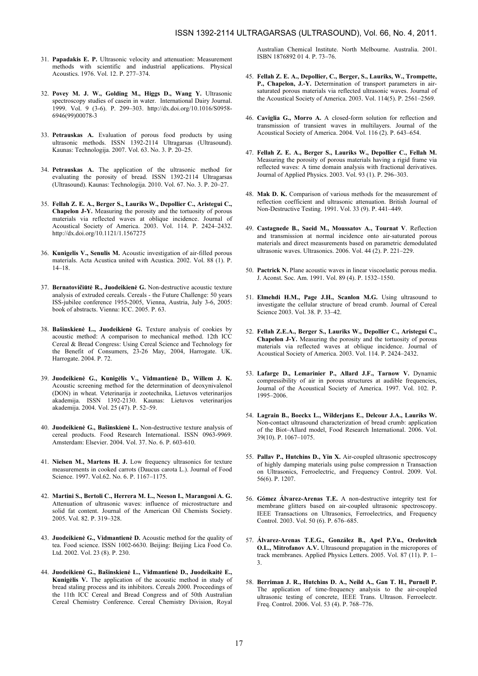- 31. Papadakis E. P. Ultrasonic velocity and attenuation: Measurement methods with scientific and industrial applications. Physical Acoustics. 1976. Vol. 12. P. 277–374.
- 32. Povey M. J. W., Golding M., Higgs D., Wang Y. Ultrasonic spectroscopy studies of casein in water. International Dairy Journal. 1999. Vol. 9 (3-6). P. 299–303. http://dx.doi.org/10.1016/S0958- 6946(99)00078-3
- 33. Petrauskas A. Evaluation of porous food products by using ultrasonic methods. ISSN 1392-2114 Ultragarsas (Ultrasound). Kaunas: Technologija. 2007. Vol. 63. No. 3. P. 20–25.
- 34. Petrauskas A. The application of the ultrasonic method for evaluating the porosity of bread. ISSN 1392-2114 Ultragarsas (Ultrasound). Kaunas: Technologija. 2010. Vol. 67. No. 3. P. 20–27.
- 35. Fellah Z. E. A., Berger S., Lauriks W., Depollier C., Aristegui C., Chapelon J-Y. Measuring the porosity and the tortuosity of porous materials via reflected waves at oblique incidence. Journal of Acoustical Society of America. 2003. Vol. 114. P. 2424–2432. http://dx.doi.org/10.1121/1.1567275
- 36. Kunigelis V., Senulis M. Acoustic investigation of air-filled porous materials. Acta Acustica united with Acustica. 2002. Vol. 88 (1). P. 14–18.
- 37. Bernatovičiūtė R., Juodeikienė G. Non-destructive acoustic texture analysis of extruded cereals. Cereals - the Future Challenge: 50 years ISS-jubilee conference 1955-2005, Vienna, Austria, July 3-6, 2005: book of abstracts. Vienna: ICC. 2005. P. 63.
- 38. Bašinskienė L., Juodeikienė G. Texture analysis of cookies by acoustic method: A comparison to mechanical method. 12th ICC Cereal & Bread Congress: Using Cereal Science and Technology for the Benefit of Consumers, 23-26 May, 2004, Harrogate. UK. Harrogate. 2004. P. 72.
- 39. Juodeikienė G., Kunigėlis V., Vidmantienė D., Willem J. K. Acoustic screening method for the determination of deoxynivalenol (DON) in wheat. Veterinarija ir zootechnika, Lietuvos veterinarijos akademija. ISSN 1392-2130. Kaunas: Lietuvos veterinarijos akademija. 2004. Vol. 25 (47). P. 52–59.
- 40. Juodeikienė G., Bašinskienė L. Non-destructive texture analysis of cereal products. Food Research International. ISSN 0963-9969. Amsterdam: Elsevier. 2004. Vol. 37. No. 6. P. 603-610.
- 41. Nielsen M., Martens H. J. Low frequency ultrasonics for texture measurements in cooked carrots (Daucus carota L.). Journal of Food Science. 1997. Vol.62. No. 6. P. 1167–1175.
- 42. Martini S., Bertoli C., Herrera M. L., Neeson I., Marangoni A. G. Attenuation of ultrasonic waves: influence of microstructure and solid fat content. Journal of the American Oil Chemists Society. 2005. Vol. 82. P. 319–328.
- 43. Juodeikienė G., Vidmantienė D. Acoustic method for the quality of tea. Food science. ISSN 1002-6630. Beijing: Beijing Lica Food Co. Ltd. 2002. Vol. 23 (8). P. 230.
- 44. Juodeikienė G., Bašinskienė L., Vidmantienė D., Juodeikaitė E., Kunigėlis V. The application of the acoustic method in study of bread staling process and its inhibitors. Cereals 2000. Proceedings of the 11th ICC Cereal and Bread Congress and of 50th Australian Cereal Chemistry Conference. Cereal Chemistry Division, Royal

Australian Chemical Institute. North Melbourne. Australia. 2001. ISBN 1876892 01 4. P. 73–76.

- 45. Fellah Z. E. A., Depollier, C., Berger, S., Lauriks, W., Trompette, P., Chapelon, J.-Y. Determination of transport parameters in airsaturated porous materials via reflected ultrasonic waves. Journal of the Acoustical Society of America. 2003. Vol. 114(5). P. 2561–2569.
- 46. Caviglia G., Morro A. A closed-form solution for reflection and transmission of transient waves in multilayers. Journal of the Acoustical Society of America. 2004. Vol. 116 (2). P. 643–654.
- 47. Fellah Z. E. A., Berger S., Lauriks W., Depollier C., Fellah M. Measuring the porosity of porous materials having a rigid frame via reflected waves: A time domain analysis with fractional derivatives. Journal of Applied Physics. 2003. Vol. 93 (1). P. 296–303.
- 48. Mak D. K. Comparison of various methods for the measurement of reflection coefficient and ultrasonic attenuation. British Journal of Non-Destructive Testing. 1991. Vol. 33 (9). P. 441–449.
- 49. Castagnede B., Saeid M., Moussatov A., Tournat V. Reflection and transmission at normal incidence onto air-saturated porous materials and direct measurements based on parametric demodulated ultrasonic waves. Ultrasonics. 2006. Vol. 44 (2). P. 221–229.
- 50. Pactrick N. Plane acoustic waves in linear viscoelastic porous media. J. Aconst. Soc. Am. 1991. Vol. 89 (4). P. 1532–1550.
- 51. Elmehdi H.M., Page J.H., Scanlon M.G. Using ultrasound to investigate the cellular structure of bread crumb. Journal of Cereal Science 2003. Vol. 38. P. 33–42.
- 52. Fellah Z.E.A., Berger S., Lauriks W., Depollier C., Aristegui C., Chapelon J-Y. Measuring the porosity and the tortuosity of porous materials via reflected waves at oblique incidence. Journal of Acoustical Society of America. 2003. Vol. 114. P. 2424–2432.
- 53. Lafarge D., Lemarinier P., Allard J.F., Tarnow V. Dynamic compressibility of air in porous structures at audible frequencies, Journal of the Acoustical Society of America. 1997. Vol. 102. P. 1995–2006.
- 54. Lagrain B., Boeckx L., Wilderjans E., Delcour J.A., Lauriks W. Non-contact ultrasound characterization of bread crumb: application of the Biot–Allard model, Food Research International. 2006. Vol. 39(10). P. 1067–1075.
- 55. Pallav P., Hutchins D., Yin X. Air-coupled ultrasonic spectroscopy of highly damping materials using pulse compression n Transaction on Ultrasonics, Ferroelectric, and Frequency Control. 2009. Vol. 56(6). P. 1207.
- 56. Gómez Álvarez-Arenas T.E. A non-destructive integrity test for membrane glitters based on air-coupled ultrasonic spectroscopy. IEEE Transactions on Ultrasonics, Ferroelectrics, and Frequency Control. 2003. Vol. 50 (6). P. 676–685.
- 57. Álvarez-Arenas T.E.G., González B., Apel P.Yu., Orelovitch O.L., Mitrofanov A.V. Ultrasound propagation in the micropores of track membranes. Applied Physics Letters. 2005. Vol. 87 (11). P. 1– 3.
- 58. Berriman J. R., Hutchins D. A., Neild A., Gan T. H., Purnell P. The application of time-frequency analysis to the air-coupled ultrasonic testing of concrete, IEEE Trans. Ultrason. Ferroelectr. Freq. Control. 2006. Vol. 53 (4). P. 768–776.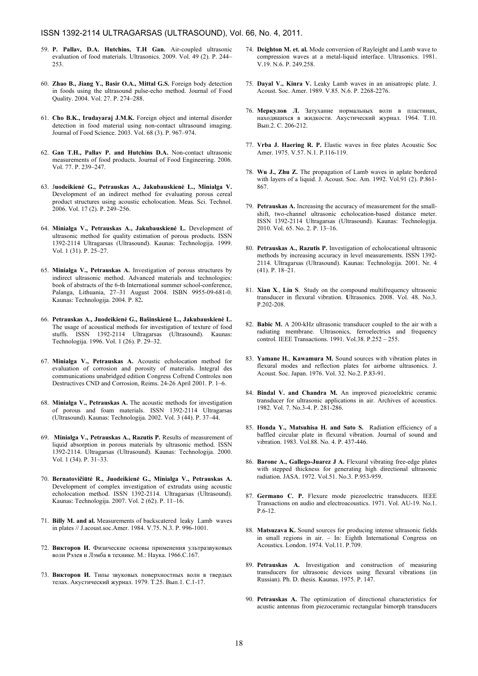#### ISSN 1392-2114 ULTRAGARSAS (ULTRASOUND), Vol. 66, No. 4, 2011.

- 59. P. Pallav, D.A. Hutchins, T.H Gan. Air-coupled ultrasonic evaluation of food materials. Ultrasonics. 2009. Vol. 49 (2). P. 244– 253.
- 60. Zhao B., Jiang Y., Basir O.A., Mittal G.S. Foreign body detection in foods using the ultrasound pulse-echo method. Journal of Food Quality. 2004. Vol. 27. P. 274–288.
- 61. Cho B.K., Irudayaraj J.M.K. Foreign object and internal disorder detection in food material using non-contact ultrasound imaging. Journal of Food Science. 2003. Vol. 68 (3). P. 967–974.
- 62. Gan T.H., Pallav P. and Hutchins D.A. Non-contact ultrasonic measurements of food products. Journal of Food Engineering. 2006. Vol. 77. P. 239–247.
- 63. Juodeikienė G., Petrauskas A., Jakubauskienė L., Minialga V. Development of an indirect method for evaluating porous cereal product structures using acoustic echolocation. Meas. Sci. Technol. 2006. Vol. 17 (2). P. 249–256.
- 64. Minialga V., Petrauskas A., Jakubauskienė L. Development of ultrasonic method for quality estimation of porous products. ISSN 1392-2114 Ultragarsas (Ultrasound). Kaunas: Technologija. 1999. Vol. 1 (31). P. 25–27.
- 65. Minialga V., Petrauskas A. Investigation of porous structures by indirect ultrasonic method. Advanced materials and technologies: book of abstracts of the 6-th International summer school-conference, Palanga, Lithuania, 27–31 August 2004. ISBN 9955-09-681-0. Kaunas: Technologija. 2004. P. 82.
- 66. Petrauskas A., Juodeikienė G., Bašinskienė L., Jakubauskienė L. The usage of acoustical methods for investigation of texture of food stuffs. ISSN 1392-2114 Ultragarsas (Ultrasound). Kaunas: stuffs. ISSN 1392-2114 Ultragarsas Technologija. 1996. Vol. 1 (26). P. 29–32.
- 67. Minialga V., Petrauskas A. Acoustic echolocation method for evaluation of corrosion and porosity of materials. Integral des communications unabridged edition Congress Cofrend Controles non Destructives CND and Corrosion, Reims. 24-26 April 2001. P. 1–6.
- 68. Minialga V., Petrauskas A. The acoustic methods for investigation of porous and foam materials. ISSN 1392-2114 Ultragarsas (Ultrasound). Kaunas: Technologija. 2002. Vol. 3 (44). P. 37–44.
- 69. Minialga V., Petrauskas A., Razutis P. Results of measurement of liquid absorption in porous materials by ultrasonic method. ISSN 1392-2114. Ultragarsas (Ultrasound). Kaunas: Technologija. 2000. Vol. 1 (34). P. 31–33.
- 70. Bernatovičiūtė R., Juodeikienė G., Minialga V., Petrauskas A. Development of complex investigation of extrudats using acoustic echolocation method. ISSN 1392-2114. Ultragarsas (Ultrasound). Kaunas: Technologija. 2007. Vol. 2 (62). P. 11–16.
- 71. Billy M. and al. Measurements of backscatered leaky Lamb waves in plates // J.acoust.soc.Amer. 1984. V.75. N.3. P. 996-1001.
- 72. Викторов И. Физические основы применения ультразвуковых волн Рэлея и Лэмба в технике. М.: Наука. 1966.C.167.
- 73. Викторов И. Типы звуковых поверхностных волн в твердых телах. Акустический журнал. 1979. Т.25. Bып.1. C.1-17.
- 74. Deighton M. et. al. Mode conversion of Rayleight and Lamb wave to compression waves at a metal-liquid interface. Ultrasonics. 1981. V.19. N.6. P. 249.258.
- 75. Dayal V., Kinra V. Leaky Lamb waves in an anisatropic plate. J. Acoust. Soc. Amer. 1989. V.85. N.6. P. 2268-2276.
- 76. Меркулов Л. Затухание нормальных волн в пластинах, находящихся в жидкости. Акустический журнал. 1964. Т.10. Bып.2. C. 206-212.
- 77. Vrba J. Haering R. P. Elastic waves in free plates Acoustic Soc Amer. 1975. V.57. N.1. P.116-119.
- 78. Wu J., Zhu Z. The propagation of Lamb waves in aplate bordered with layers of a liquid. J. Acoust. Soc. Am. 1992. Vol.91 (2). P.861- 867.
- 79. Petrauskas A. Increasing the accuracy of measurement for the smallshift, two-channel ultrasonic echolocation-based distance meter. ISSN 1392-2114 Ultragarsas (Ultrasound). Kaunas: Technologija. 2010. Vol. 65. No. 2. P. 13–16.
- 80. Petrauskas A., Razutis P. Investigation of echolocational ultrasonic methods by increasing accuracy in level measurements. ISSN 1392- 2114. Ultragarsas (Ultrasound). Kaunas: Technologija. 2001. Nr. 4 (41). P. 18–21.
- 81. Xian X., Lin S. Study on the compound multifrequency ultrasonic transducer in flexural vibration. Ultrasonics. 2008. Vol. 48. No.3. P.202-208.
- 82. Babic M. A 200-kHz ultrasonic transducer coupled to the air with a radiating membrane. Ultrasonics, ferroelectrics and frequency control. IEEE Transactions. 1991. Vol.38. P.252 – 255.
- 83. Yamane H., Kawamura M. Sound sources with vibration plates in flexural modes and reflection plates for airborne ultrasonics. J. Acoust. Soc. Japan. 1976. Vol. 32. No.2. P.83-91.
- 84. Bindal V. and Chandra M. An improved piezoelektric ceramic transducer for ultrasonic applications in air. Archives of acoustics. 1982. Vol. 7. No.3-4. P. 281-286.
- 85. Honda Y., Matsuhisa H. and Sato S. Radiation efficiency of a baffled circular plate in flexural vibration. Journal of sound and vibration. 1983. Vol.88. No. 4. P. 437-446.
- 86. Barone A., Gallego-Juarez J A. Flexural vibrating free-edge plates with stepped thickness for generating high directional ultrasonic radiation. JASA. 1972. Vol.51. No.3. P.953-959.
- 87. Germano C. P. Flexure mode piezoelectric transducers. IEEE Transactions on audio and electroacoustics. 1971. Vol. AU-19. No.1. P.6-12.
- 88. Matsuzava K. Sound sources for producing intense ultrasonic fields in small regions in air. – In: Eighth International Congress on Acoustics. London. 1974. Vol.11. P.709.
- 89. Petrauskas A. Investigation and construction of measuring transducers for ultrasonic devices using flexural vibrations (in Russian). Ph. D. thesis. Kaunas. 1975. P. 147.
- 90. Petrauskas A. The optimization of directional characteristics for acustic antennas from piezoceramic rectangular bimorph transducers